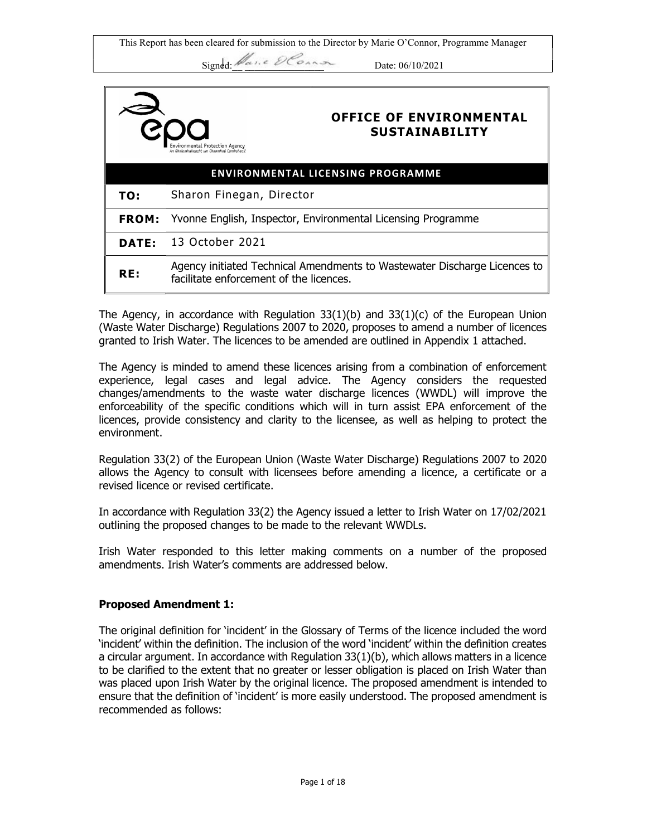This Report has been cleared for submission to the Director by Marie O'Connor, Programme Manager

Signed:  $\mathscr{U}_{\alpha}$ , e  $\mathscr{D}\mathscr{C}_{\alpha\wedge\alpha\alpha}$  Date: 06/10/2021

|                                          | <b>OFFICE OF ENVIRONMENTAL</b><br><b>SUSTAINABILITY</b><br>Environmental Protection Agency<br>An Ghníomhaireacht um Chaomhnú Comhshaoi |  |
|------------------------------------------|----------------------------------------------------------------------------------------------------------------------------------------|--|
| <b>ENVIRONMENTAL LICENSING PROGRAMME</b> |                                                                                                                                        |  |
| TO:                                      | Sharon Finegan, Director                                                                                                               |  |
| <b>FROM:</b>                             | Yvonne English, Inspector, Environmental Licensing Programme                                                                           |  |
| DATE:                                    | 13 October 2021                                                                                                                        |  |
| RE:                                      | Agency initiated Technical Amendments to Wastewater Discharge Licences to<br>facilitate enforcement of the licences.                   |  |

The Agency, in accordance with Regulation  $33(1)(b)$  and  $33(1)(c)$  of the European Union (Waste Water Discharge) Regulations 2007 to 2020, proposes to amend a number of licences granted to Irish Water. The licences to be amended are outlined in Appendix 1 attached.

The Agency is minded to amend these licences arising from a combination of enforcement experience, legal cases and legal advice. The Agency considers the requested changes/amendments to the waste water discharge licences (WWDL) will improve the enforceability of the specific conditions which will in turn assist EPA enforcement of the licences, provide consistency and clarity to the licensee, as well as helping to protect the environment.

Regulation 33(2) of the European Union (Waste Water Discharge) Regulations 2007 to 2020 allows the Agency to consult with licensees before amending a licence, a certificate or a revised licence or revised certificate.

In accordance with Regulation 33(2) the Agency issued a letter to Irish Water on 17/02/2021 outlining the proposed changes to be made to the relevant WWDLs.

Irish Water responded to this letter making comments on a number of the proposed amendments. Irish Water's comments are addressed below.

# Proposed Amendment 1:

The original definition for 'incident' in the Glossary of Terms of the licence included the word 'incident' within the definition. The inclusion of the word 'incident' within the definition creates a circular argument. In accordance with Regulation 33(1)(b), which allows matters in a licence to be clarified to the extent that no greater or lesser obligation is placed on Irish Water than was placed upon Irish Water by the original licence. The proposed amendment is intended to ensure that the definition of 'incident' is more easily understood. The proposed amendment is recommended as follows: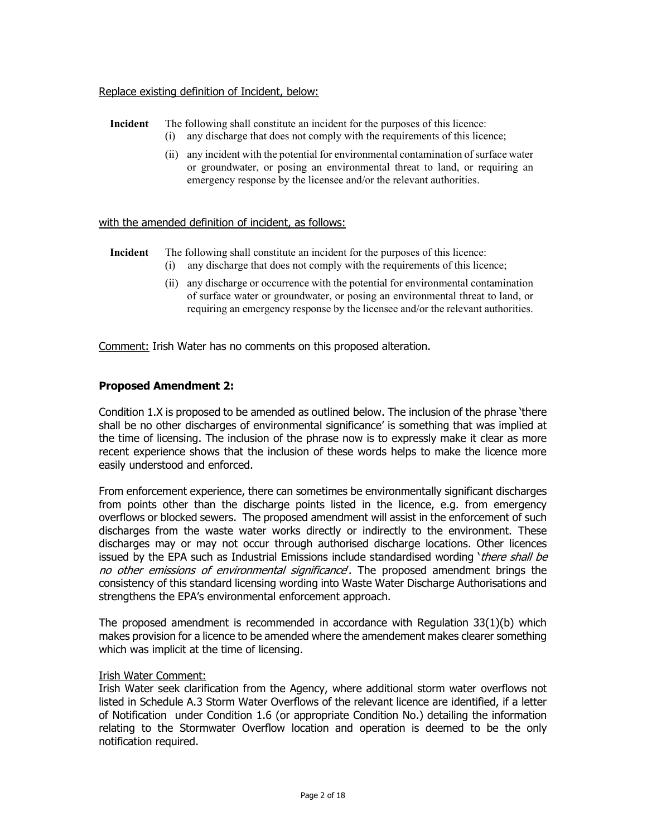### Replace existing definition of Incident, below:

# Incident The following shall constitute an incident for the purposes of this licence:

- (i) any discharge that does not comply with the requirements of this licence;
- (ii) any incident with the potential for environmental contamination of surface water or groundwater, or posing an environmental threat to land, or requiring an emergency response by the licensee and/or the relevant authorities.

#### with the amended definition of incident, as follows:

Incident The following shall constitute an incident for the purposes of this licence:

- (i) any discharge that does not comply with the requirements of this licence;
- (ii) any discharge or occurrence with the potential for environmental contamination of surface water or groundwater, or posing an environmental threat to land, or requiring an emergency response by the licensee and/or the relevant authorities.

Comment: Irish Water has no comments on this proposed alteration.

# Proposed Amendment 2:

Condition 1.X is proposed to be amended as outlined below. The inclusion of the phrase 'there shall be no other discharges of environmental significance' is something that was implied at the time of licensing. The inclusion of the phrase now is to expressly make it clear as more recent experience shows that the inclusion of these words helps to make the licence more easily understood and enforced.

From enforcement experience, there can sometimes be environmentally significant discharges from points other than the discharge points listed in the licence, e.g. from emergency overflows or blocked sewers. The proposed amendment will assist in the enforcement of such discharges from the waste water works directly or indirectly to the environment. These discharges may or may not occur through authorised discharge locations. Other licences issued by the EPA such as Industrial Emissions include standardised wording 'there shall be no other emissions of environmental significance. The proposed amendment brings the consistency of this standard licensing wording into Waste Water Discharge Authorisations and strengthens the EPA's environmental enforcement approach.

The proposed amendment is recommended in accordance with Regulation  $33(1)(b)$  which makes provision for a licence to be amended where the amendement makes clearer something which was implicit at the time of licensing.

#### Irish Water Comment:

Irish Water seek clarification from the Agency, where additional storm water overflows not listed in Schedule A.3 Storm Water Overflows of the relevant licence are identified, if a letter of Notification under Condition 1.6 (or appropriate Condition No.) detailing the information relating to the Stormwater Overflow location and operation is deemed to be the only notification required.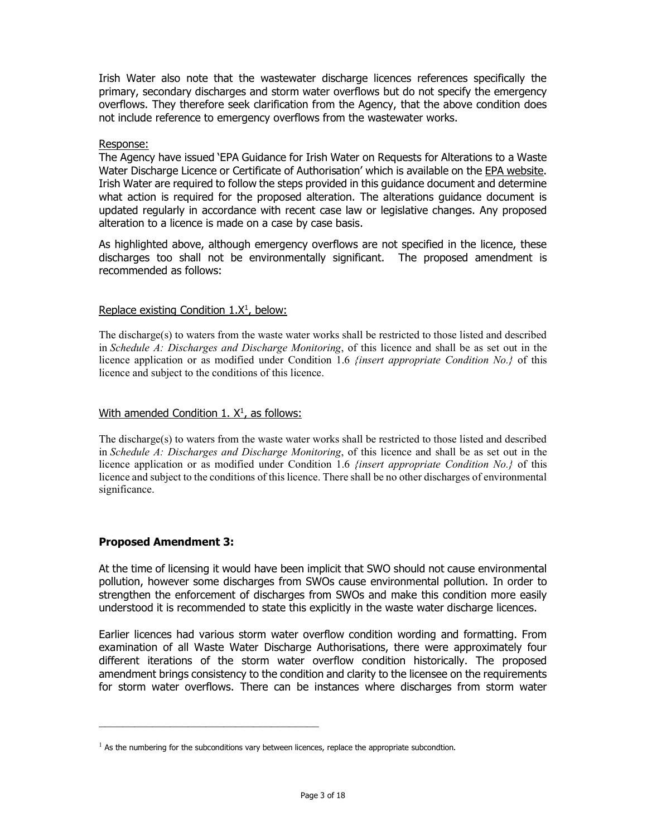Irish Water also note that the wastewater discharge licences references specifically the primary, secondary discharges and storm water overflows but do not specify the emergency overflows. They therefore seek clarification from the Agency, that the above condition does not include reference to emergency overflows from the wastewater works.

#### Response:

The Agency have issued 'EPA Guidance for Irish Water on Requests for Alterations to a Waste Water Discharge Licence or Certificate of Authorisation' which is available on the EPA website. Irish Water are required to follow the steps provided in this guidance document and determine what action is required for the proposed alteration. The alterations guidance document is updated regularly in accordance with recent case law or legislative changes. Any proposed alteration to a licence is made on a case by case basis.

As highlighted above, although emergency overflows are not specified in the licence, these discharges too shall not be environmentally significant. The proposed amendment is recommended as follows:

### Replace existing Condition 1.X<sup>1</sup>, below:

The discharge(s) to waters from the waste water works shall be restricted to those listed and described in Schedule A: Discharges and Discharge Monitoring, of this licence and shall be as set out in the licence application or as modified under Condition 1.6 *{insert appropriate Condition No.}* of this licence and subject to the conditions of this licence.

### With amended Condition 1. X<sup>1</sup>, as follows:

The discharge(s) to waters from the waste water works shall be restricted to those listed and described in Schedule A: Discharges and Discharge Monitoring, of this licence and shall be as set out in the licence application or as modified under Condition 1.6 *{insert appropriate Condition No.}* of this licence and subject to the conditions of this licence. There shall be no other discharges of environmental significance.

# Proposed Amendment 3:

At the time of licensing it would have been implicit that SWO should not cause environmental pollution, however some discharges from SWOs cause environmental pollution. In order to strengthen the enforcement of discharges from SWOs and make this condition more easily understood it is recommended to state this explicitly in the waste water discharge licences.

Earlier licences had various storm water overflow condition wording and formatting. From examination of all Waste Water Discharge Authorisations, there were approximately four different iterations of the storm water overflow condition historically. The proposed amendment brings consistency to the condition and clarity to the licensee on the requirements for storm water overflows. There can be instances where discharges from storm water

 $<sup>1</sup>$  As the numbering for the subconditions vary between licences, replace the appropriate subcondtion.</sup>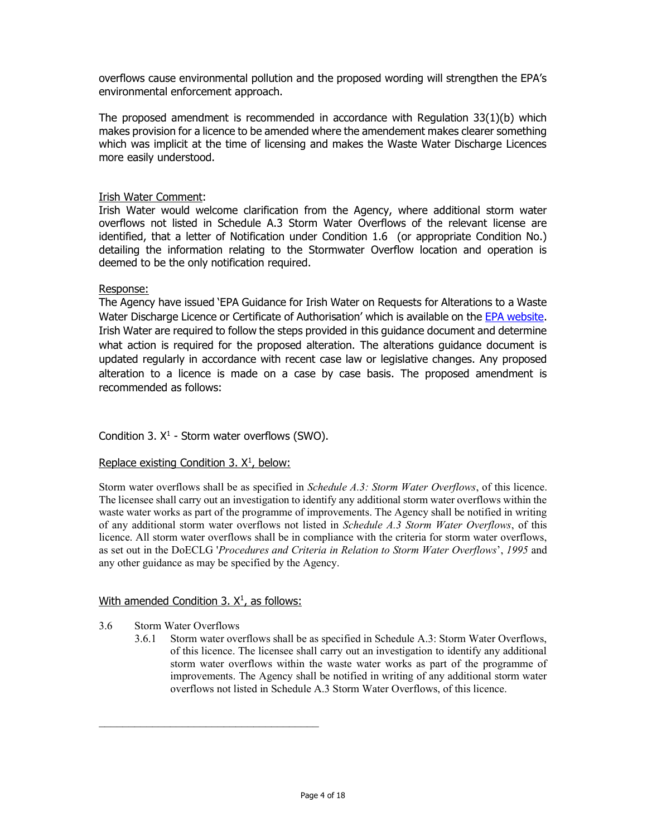overflows cause environmental pollution and the proposed wording will strengthen the EPA's environmental enforcement approach.

The proposed amendment is recommended in accordance with Regulation 33(1)(b) which makes provision for a licence to be amended where the amendement makes clearer something which was implicit at the time of licensing and makes the Waste Water Discharge Licences more easily understood.

# Irish Water Comment:

Irish Water would welcome clarification from the Agency, where additional storm water overflows not listed in Schedule A.3 Storm Water Overflows of the relevant license are identified, that a letter of Notification under Condition 1.6 (or appropriate Condition No.) detailing the information relating to the Stormwater Overflow location and operation is deemed to be the only notification required.

### Response:

The Agency have issued 'EPA Guidance for Irish Water on Requests for Alterations to a Waste Water Discharge Licence or Certificate of Authorisation' which is available on the EPA website. Irish Water are required to follow the steps provided in this guidance document and determine what action is required for the proposed alteration. The alterations guidance document is updated regularly in accordance with recent case law or legislative changes. Any proposed alteration to a licence is made on a case by case basis. The proposed amendment is recommended as follows:

# Condition 3.  $X^1$  - Storm water overflows (SWO).

# Replace existing Condition  $3.$   $X<sup>1</sup>$ , below:

Storm water overflows shall be as specified in *Schedule A.3: Storm Water Overflows*, of this licence. The licensee shall carry out an investigation to identify any additional storm water overflows within the waste water works as part of the programme of improvements. The Agency shall be notified in writing of any additional storm water overflows not listed in Schedule A.3 Storm Water Overflows, of this licence. All storm water overflows shall be in compliance with the criteria for storm water overflows, as set out in the DoECLG 'Procedures and Criteria in Relation to Storm Water Overflows', 1995 and any other guidance as may be specified by the Agency.

#### With amended Condition 3. X<sup>1</sup>, as follows:

#### 3.6 Storm Water Overflows

3.6.1 Storm water overflows shall be as specified in Schedule A.3: Storm Water Overflows, of this licence. The licensee shall carry out an investigation to identify any additional storm water overflows within the waste water works as part of the programme of improvements. The Agency shall be notified in writing of any additional storm water overflows not listed in Schedule A.3 Storm Water Overflows, of this licence.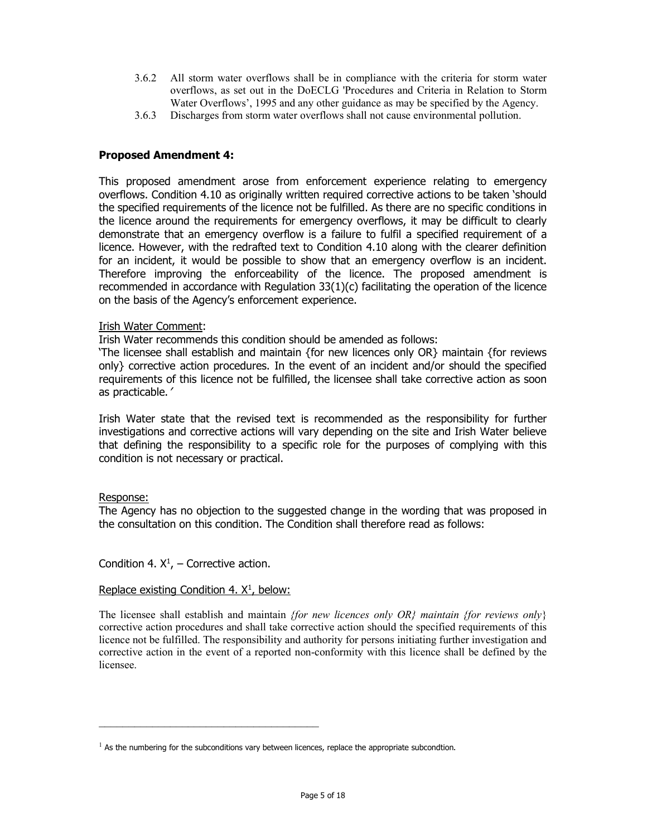- 3.6.2 All storm water overflows shall be in compliance with the criteria for storm water overflows, as set out in the DoECLG 'Procedures and Criteria in Relation to Storm Water Overflows', 1995 and any other guidance as may be specified by the Agency.
- 3.6.3 Discharges from storm water overflows shall not cause environmental pollution.

# Proposed Amendment 4:

This proposed amendment arose from enforcement experience relating to emergency overflows. Condition 4.10 as originally written required corrective actions to be taken 'should the specified requirements of the licence not be fulfilled. As there are no specific conditions in the licence around the requirements for emergency overflows, it may be difficult to clearly demonstrate that an emergency overflow is a failure to fulfil a specified requirement of a licence. However, with the redrafted text to Condition 4.10 along with the clearer definition for an incident, it would be possible to show that an emergency overflow is an incident. Therefore improving the enforceability of the licence. The proposed amendment is recommended in accordance with Regulation 33(1)(c) facilitating the operation of the licence on the basis of the Agency's enforcement experience.

### Irish Water Comment:

Irish Water recommends this condition should be amended as follows:

'The licensee shall establish and maintain {for new licences only OR} maintain {for reviews only} corrective action procedures. In the event of an incident and/or should the specified requirements of this licence not be fulfilled, the licensee shall take corrective action as soon as practicable.'

Irish Water state that the revised text is recommended as the responsibility for further investigations and corrective actions will vary depending on the site and Irish Water believe that defining the responsibility to a specific role for the purposes of complying with this condition is not necessary or practical.

#### Response:

The Agency has no objection to the suggested change in the wording that was proposed in the consultation on this condition. The Condition shall therefore read as follows:

Condition 4.  $X^1$ , – Corrective action.

#### Replace existing Condition 4.  $X<sup>1</sup>$ , below:

The licensee shall establish and maintain *{for new licences only OR} maintain {for reviews only}* corrective action procedures and shall take corrective action should the specified requirements of this licence not be fulfilled. The responsibility and authority for persons initiating further investigation and corrective action in the event of a reported non-conformity with this licence shall be defined by the licensee.

 $<sup>1</sup>$  As the numbering for the subconditions vary between licences, replace the appropriate subcondtion.</sup>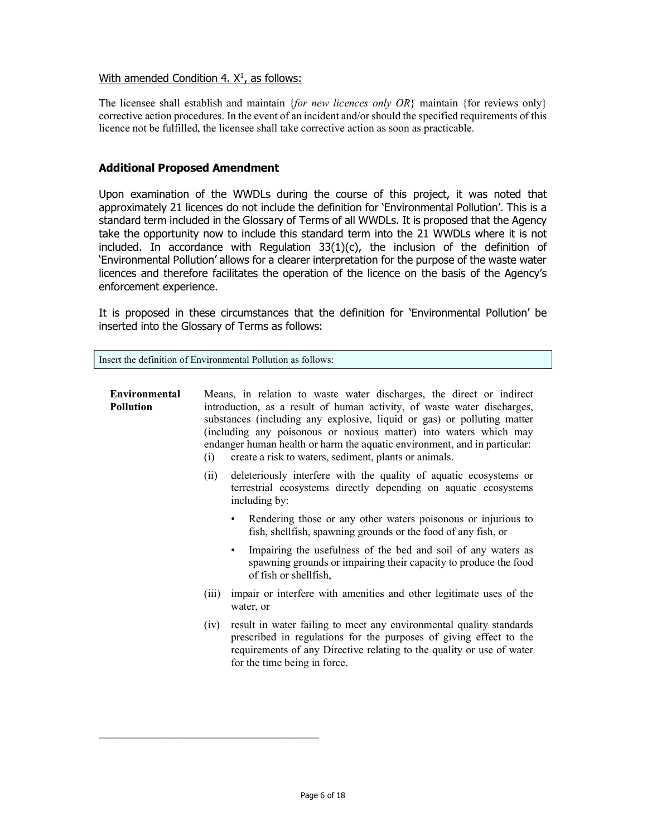# With amended Condition 4. X<sup>1</sup>, as follows:

The licensee shall establish and maintain *{for new licences only OR}* maintain {for reviews only} corrective action procedures. In the event of an incident and/or should the specified requirements of this licence not be fulfilled, the licensee shall take corrective action as soon as practicable.

# Additional Proposed Amendment

Upon examination of the WWDLs during the course of this project, it was noted that approximately 21 licences do not include the definition for 'Environmental Pollution'. This is a standard term included in the Glossary of Terms of all WWDLs. It is proposed that the Agency take the opportunity now to include this standard term into the 21 WWDLs where it is not included. In accordance with Regulation  $33(1)(c)$ , the inclusion of the definition of 'Environmental Pollution' allows for a clearer interpretation for the purpose of the waste water licences and therefore facilitates the operation of the licence on the basis of the Agency's enforcement experience.

It is proposed in these circumstances that the definition for 'Environmental Pollution' be inserted into the Glossary of Terms as follows:

Insert the definition of Environmental Pollution as follows:

 $\mathcal{L}_\text{max}$ 

# Environmental Pollution Means, in relation to waste water discharges, the direct or indirect introduction, as a result of human activity, of waste water discharges, substances (including any explosive, liquid or gas) or polluting matter (including any poisonous or noxious matter) into waters which may endanger human health or harm the aquatic environment, and in particular: (i) create a risk to waters, sediment, plants or animals. (ii) deleteriously interfere with the quality of aquatic ecosystems or terrestrial ecosystems directly depending on aquatic ecosystems including by: Rendering those or any other waters poisonous or injurious to fish, shellfish, spawning grounds or the food of any fish, or Impairing the usefulness of the bed and soil of any waters as spawning grounds or impairing their capacity to produce the food of fish or shellfish, (iii) impair or interfere with amenities and other legitimate uses of the water, or (iv) result in water failing to meet any environmental quality standards prescribed in regulations for the purposes of giving effect to the requirements of any Directive relating to the quality or use of water for the time being in force.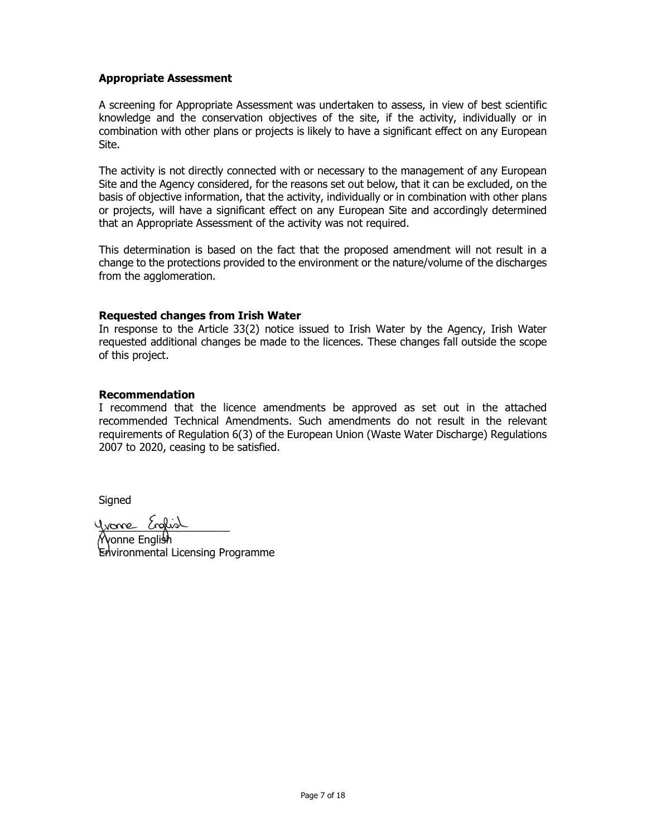# Appropriate Assessment

A screening for Appropriate Assessment was undertaken to assess, in view of best scientific knowledge and the conservation objectives of the site, if the activity, individually or in combination with other plans or projects is likely to have a significant effect on any European Site.

The activity is not directly connected with or necessary to the management of any European Site and the Agency considered, for the reasons set out below, that it can be excluded, on the basis of objective information, that the activity, individually or in combination with other plans or projects, will have a significant effect on any European Site and accordingly determined that an Appropriate Assessment of the activity was not required.

This determination is based on the fact that the proposed amendment will not result in a change to the protections provided to the environment or the nature/volume of the discharges from the agglomeration.

### Requested changes from Irish Water

In response to the Article 33(2) notice issued to Irish Water by the Agency, Irish Water requested additional changes be made to the licences. These changes fall outside the scope of this project.

# Recommendation

I recommend that the licence amendments be approved as set out in the attached recommended Technical Amendments. Such amendments do not result in the relevant requirements of Regulation 6(3) of the European Union (Waste Water Discharge) Regulations 2007 to 2020, ceasing to be satisfied.

Signed

yvone English

Yvonne English Environmental Licensing Programme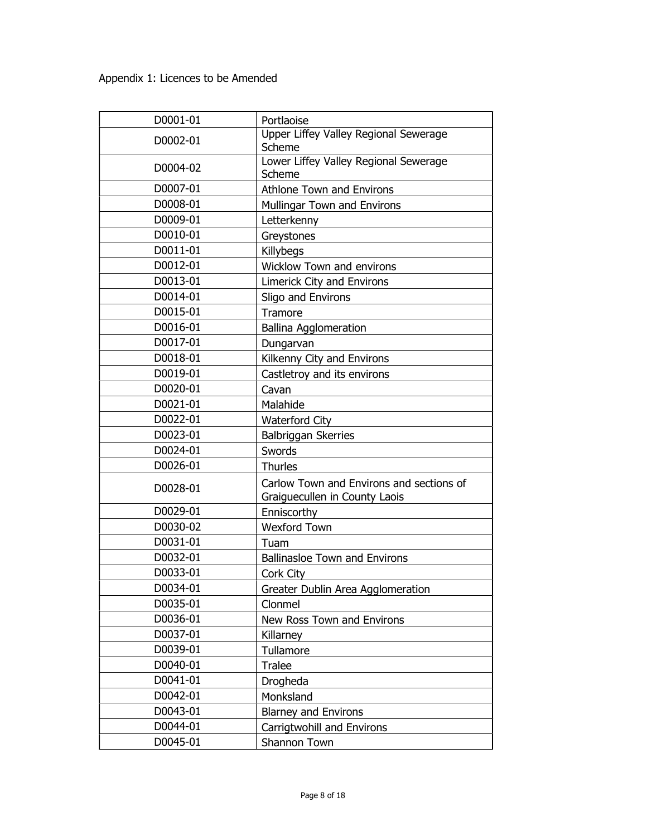| D0001-01 | Portlaoise                                                                |
|----------|---------------------------------------------------------------------------|
| D0002-01 | Upper Liffey Valley Regional Sewerage<br>Scheme                           |
| D0004-02 | Lower Liffey Valley Regional Sewerage<br>Scheme                           |
| D0007-01 | <b>Athlone Town and Environs</b>                                          |
| D0008-01 | Mullingar Town and Environs                                               |
| D0009-01 | Letterkenny                                                               |
| D0010-01 | Greystones                                                                |
| D0011-01 | Killybegs                                                                 |
| D0012-01 | <b>Wicklow Town and environs</b>                                          |
| D0013-01 | Limerick City and Environs                                                |
| D0014-01 | Sligo and Environs                                                        |
| D0015-01 | Tramore                                                                   |
| D0016-01 | <b>Ballina Agglomeration</b>                                              |
| D0017-01 | Dungarvan                                                                 |
| D0018-01 | Kilkenny City and Environs                                                |
| D0019-01 | Castletroy and its environs                                               |
| D0020-01 | Cavan                                                                     |
| D0021-01 | Malahide                                                                  |
| D0022-01 | <b>Waterford City</b>                                                     |
| D0023-01 | Balbriggan Skerries                                                       |
| D0024-01 | Swords                                                                    |
| D0026-01 | <b>Thurles</b>                                                            |
|          |                                                                           |
| D0028-01 | Carlow Town and Environs and sections of<br>Graiguecullen in County Laois |
| D0029-01 | Enniscorthy                                                               |
| D0030-02 | <b>Wexford Town</b>                                                       |
| D0031-01 | Tuam                                                                      |
| D0032-01 | <b>Ballinasloe Town and Environs</b>                                      |
| D0033-01 | Cork City                                                                 |
| D0034-01 | Greater Dublin Area Agglomeration                                         |
| D0035-01 | Clonmel                                                                   |
| D0036-01 | New Ross Town and Environs                                                |
| D0037-01 | Killarney                                                                 |
| D0039-01 | Tullamore                                                                 |
| D0040-01 | <b>Tralee</b>                                                             |
| D0041-01 | Drogheda                                                                  |
| D0042-01 | Monksland                                                                 |
| D0043-01 | <b>Blarney and Environs</b>                                               |
| D0044-01 | Carrigtwohill and Environs                                                |
| D0045-01 | Shannon Town                                                              |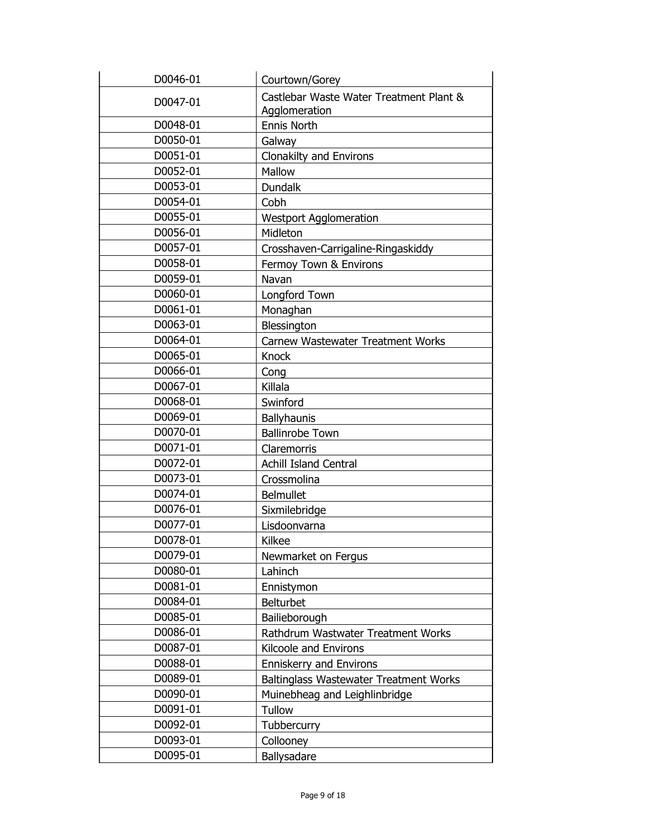| D0046-01 | Courtown/Gorey                                           |
|----------|----------------------------------------------------------|
| D0047-01 | Castlebar Waste Water Treatment Plant &<br>Agglomeration |
| D0048-01 | Ennis North                                              |
| D0050-01 | Galway                                                   |
| D0051-01 | <b>Clonakilty and Environs</b>                           |
| D0052-01 | Mallow                                                   |
| D0053-01 | <b>Dundalk</b>                                           |
| D0054-01 | Cobh                                                     |
| D0055-01 | <b>Westport Agglomeration</b>                            |
| D0056-01 | Midleton                                                 |
| D0057-01 | Crosshaven-Carrigaline-Ringaskiddy                       |
| D0058-01 | Fermoy Town & Environs                                   |
| D0059-01 | Navan                                                    |
| D0060-01 | Longford Town                                            |
| D0061-01 | Monaghan                                                 |
| D0063-01 | Blessington                                              |
| D0064-01 | Carnew Wastewater Treatment Works                        |
| D0065-01 | <b>Knock</b>                                             |
| D0066-01 | Cong                                                     |
| D0067-01 | Killala                                                  |
| D0068-01 | Swinford                                                 |
| D0069-01 | <b>Ballyhaunis</b>                                       |
| D0070-01 | <b>Ballinrobe Town</b>                                   |
| D0071-01 | Claremorris                                              |
| D0072-01 | <b>Achill Island Central</b>                             |
| D0073-01 | Crossmolina                                              |
| D0074-01 | <b>Belmullet</b>                                         |
| D0076-01 | Sixmilebridge                                            |
| D0077-01 | Lisdoonvarna                                             |
| D0078-01 | <b>Kilkee</b>                                            |
| D0079-01 | Newmarket on Fergus                                      |
| D0080-01 | Lahinch                                                  |
| D0081-01 | Ennistymon                                               |
| D0084-01 | <b>Belturbet</b>                                         |
| D0085-01 | Bailieborough                                            |
| D0086-01 | Rathdrum Wastwater Treatment Works                       |
| D0087-01 | Kilcoole and Environs                                    |
| D0088-01 | <b>Enniskerry and Environs</b>                           |
| D0089-01 | <b>Baltinglass Wastewater Treatment Works</b>            |
| D0090-01 | Muinebheag and Leighlinbridge                            |
| D0091-01 | Tullow                                                   |
| D0092-01 | Tubbercurry                                              |
| D0093-01 | Collooney                                                |
| D0095-01 | Ballysadare                                              |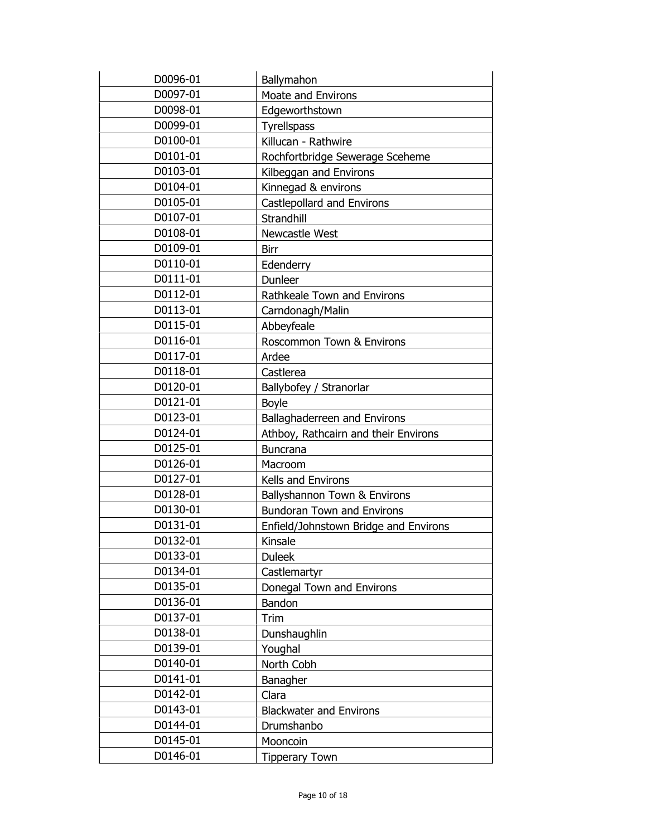| D0096-01 | Ballymahon                            |
|----------|---------------------------------------|
| D0097-01 | <b>Moate and Environs</b>             |
| D0098-01 | Edgeworthstown                        |
| D0099-01 | <b>Tyrellspass</b>                    |
| D0100-01 | Killucan - Rathwire                   |
| D0101-01 | Rochfortbridge Sewerage Sceheme       |
| D0103-01 | Kilbeggan and Environs                |
| D0104-01 | Kinnegad & environs                   |
| D0105-01 | Castlepollard and Environs            |
| D0107-01 | Strandhill                            |
| D0108-01 | Newcastle West                        |
| D0109-01 | <b>Birr</b>                           |
| D0110-01 | Edenderry                             |
| D0111-01 | Dunleer                               |
| D0112-01 | Rathkeale Town and Environs           |
| D0113-01 | Carndonagh/Malin                      |
| D0115-01 | Abbeyfeale                            |
| D0116-01 | Roscommon Town & Environs             |
| D0117-01 | Ardee                                 |
| D0118-01 | Castlerea                             |
| D0120-01 | Ballybofey / Stranorlar               |
| D0121-01 | <b>Boyle</b>                          |
| D0123-01 | Ballaghaderreen and Environs          |
| D0124-01 | Athboy, Rathcairn and their Environs  |
| D0125-01 | <b>Buncrana</b>                       |
| D0126-01 | Macroom                               |
| D0127-01 | Kells and Environs                    |
| D0128-01 | Ballyshannon Town & Environs          |
| D0130-01 | <b>Bundoran Town and Environs</b>     |
| D0131-01 | Enfield/Johnstown Bridge and Environs |
| D0132-01 | Kinsale                               |
| D0133-01 | <b>Duleek</b>                         |
| D0134-01 | Castlemartyr                          |
| D0135-01 | Donegal Town and Environs             |
| D0136-01 | Bandon                                |
| D0137-01 | Trim                                  |
| D0138-01 | Dunshaughlin                          |
| D0139-01 | Youghal                               |
| D0140-01 | North Cobh                            |
| D0141-01 | Banagher                              |
| D0142-01 | Clara                                 |
| D0143-01 | <b>Blackwater and Environs</b>        |
| D0144-01 | Drumshanbo                            |
| D0145-01 | Mooncoin                              |
| D0146-01 | <b>Tipperary Town</b>                 |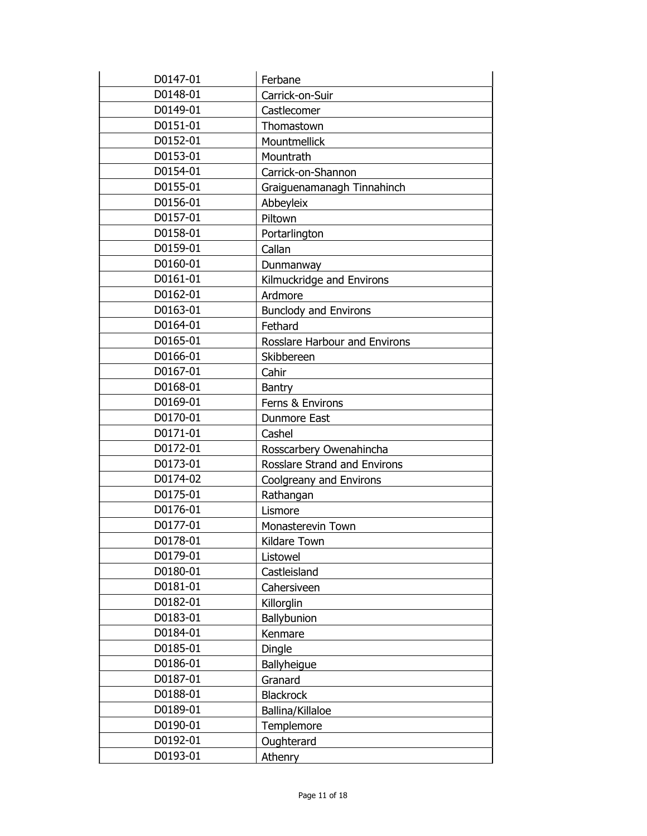| D0147-01 | Ferbane                             |
|----------|-------------------------------------|
| D0148-01 | Carrick-on-Suir                     |
| D0149-01 | Castlecomer                         |
| D0151-01 | Thomastown                          |
| D0152-01 | Mountmellick                        |
| D0153-01 | Mountrath                           |
| D0154-01 | Carrick-on-Shannon                  |
| D0155-01 | Graiguenamanagh Tinnahinch          |
| D0156-01 | Abbeyleix                           |
| D0157-01 | Piltown                             |
| D0158-01 | Portarlington                       |
| D0159-01 | Callan                              |
| D0160-01 | Dunmanway                           |
| D0161-01 | Kilmuckridge and Environs           |
| D0162-01 | Ardmore                             |
| D0163-01 | <b>Bunclody and Environs</b>        |
| D0164-01 | Fethard                             |
| D0165-01 | Rosslare Harbour and Environs       |
| D0166-01 | Skibbereen                          |
| D0167-01 | Cahir                               |
| D0168-01 | Bantry                              |
| D0169-01 | Ferns & Environs                    |
| D0170-01 | <b>Dunmore East</b>                 |
| D0171-01 | Cashel                              |
| D0172-01 | Rosscarbery Owenahincha             |
| D0173-01 | <b>Rosslare Strand and Environs</b> |
| D0174-02 | Coolgreany and Environs             |
| D0175-01 | Rathangan                           |
| D0176-01 | Lismore                             |
| D0177-01 | Monasterevin Town                   |
| D0178-01 | Kildare Town                        |
| D0179-01 | Listowel                            |
| D0180-01 | Castleisland                        |
| D0181-01 | Cahersiveen                         |
| D0182-01 | Killorglin                          |
| D0183-01 | Ballybunion                         |
| D0184-01 | Kenmare                             |
| D0185-01 | Dingle                              |
| D0186-01 | Ballyheigue                         |
| D0187-01 | Granard                             |
| D0188-01 | <b>Blackrock</b>                    |
| D0189-01 | Ballina/Killaloe                    |
| D0190-01 | Templemore                          |
| D0192-01 | Oughterard                          |
| D0193-01 | Athenry                             |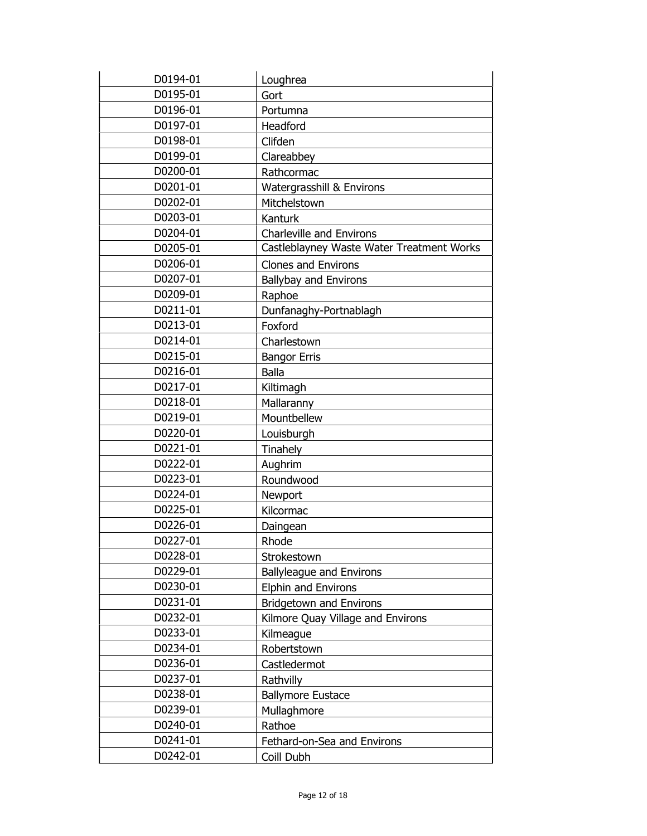| D0194-01 | Loughrea                                  |
|----------|-------------------------------------------|
| D0195-01 | Gort                                      |
| D0196-01 | Portumna                                  |
| D0197-01 | Headford                                  |
| D0198-01 | Clifden                                   |
| D0199-01 | Clareabbey                                |
| D0200-01 | Rathcormac                                |
| D0201-01 | Watergrasshill & Environs                 |
| D0202-01 | Mitchelstown                              |
| D0203-01 | Kanturk                                   |
| D0204-01 | <b>Charleville and Environs</b>           |
| D0205-01 | Castleblayney Waste Water Treatment Works |
| D0206-01 | <b>Clones and Environs</b>                |
| D0207-01 | Ballybay and Environs                     |
| D0209-01 | Raphoe                                    |
| D0211-01 | Dunfanaghy-Portnablagh                    |
| D0213-01 | Foxford                                   |
| D0214-01 | Charlestown                               |
| D0215-01 | <b>Bangor Erris</b>                       |
| D0216-01 | <b>Balla</b>                              |
| D0217-01 | Kiltimagh                                 |
| D0218-01 | Mallaranny                                |
| D0219-01 | Mountbellew                               |
| D0220-01 | Louisburgh                                |
| D0221-01 | Tinahely                                  |
| D0222-01 | Aughrim                                   |
| D0223-01 | Roundwood                                 |
| D0224-01 | Newport                                   |
| D0225-01 | Kilcormac                                 |
| D0226-01 | Daingean                                  |
| D0227-01 | Rhode                                     |
| D0228-01 | Strokestown                               |
| D0229-01 | <b>Ballyleague and Environs</b>           |
| D0230-01 | <b>Elphin and Environs</b>                |
| D0231-01 | <b>Bridgetown and Environs</b>            |
| D0232-01 | Kilmore Quay Village and Environs         |
| D0233-01 | Kilmeague                                 |
| D0234-01 | Robertstown                               |
| D0236-01 | Castledermot                              |
| D0237-01 | Rathvilly                                 |
| D0238-01 | <b>Ballymore Eustace</b>                  |
| D0239-01 | Mullaghmore                               |
| D0240-01 | Rathoe                                    |
| D0241-01 | Fethard-on-Sea and Environs               |
| D0242-01 | Coill Dubh                                |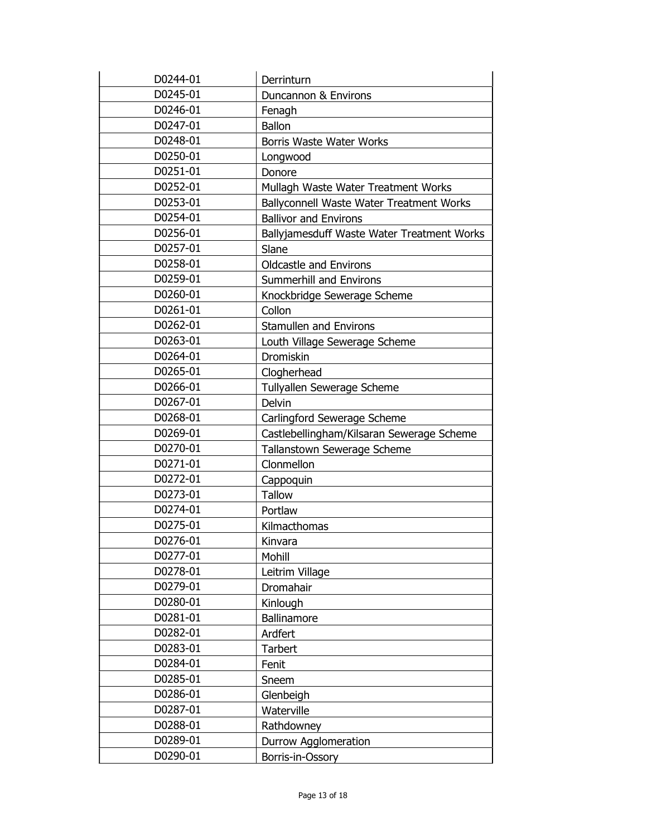| D0244-01 | Derrinturn                                 |
|----------|--------------------------------------------|
| D0245-01 | Duncannon & Environs                       |
| D0246-01 | Fenagh                                     |
| D0247-01 | <b>Ballon</b>                              |
| D0248-01 | <b>Borris Waste Water Works</b>            |
| D0250-01 | Longwood                                   |
| D0251-01 | Donore                                     |
| D0252-01 | Mullagh Waste Water Treatment Works        |
| D0253-01 | Ballyconnell Waste Water Treatment Works   |
| D0254-01 | <b>Ballivor and Environs</b>               |
| D0256-01 | Ballyjamesduff Waste Water Treatment Works |
| D0257-01 | Slane                                      |
| D0258-01 | <b>Oldcastle and Environs</b>              |
| D0259-01 | <b>Summerhill and Environs</b>             |
| D0260-01 | Knockbridge Sewerage Scheme                |
| D0261-01 | Collon                                     |
| D0262-01 | <b>Stamullen and Environs</b>              |
| D0263-01 | Louth Village Sewerage Scheme              |
| D0264-01 | Dromiskin                                  |
| D0265-01 | Clogherhead                                |
| D0266-01 | Tullyallen Sewerage Scheme                 |
| D0267-01 | Delvin                                     |
| D0268-01 | Carlingford Sewerage Scheme                |
| D0269-01 | Castlebellingham/Kilsaran Sewerage Scheme  |
| D0270-01 | Tallanstown Sewerage Scheme                |
| D0271-01 | Clonmellon                                 |
| D0272-01 | Cappoquin                                  |
| D0273-01 | <b>Tallow</b>                              |
| D0274-01 | Portlaw                                    |
| D0275-01 | Kilmacthomas                               |
| D0276-01 | Kinvara                                    |
| D0277-01 | Mohill                                     |
| D0278-01 | Leitrim Village                            |
| D0279-01 | Dromahair                                  |
| D0280-01 | Kinlough                                   |
| D0281-01 | Ballinamore                                |
| D0282-01 | Ardfert                                    |
| D0283-01 | <b>Tarbert</b>                             |
| D0284-01 | Fenit                                      |
| D0285-01 | Sneem                                      |
| D0286-01 | Glenbeigh                                  |
| D0287-01 | Waterville                                 |
| D0288-01 | Rathdowney                                 |
| D0289-01 | Durrow Agglomeration                       |
| D0290-01 | Borris-in-Ossory                           |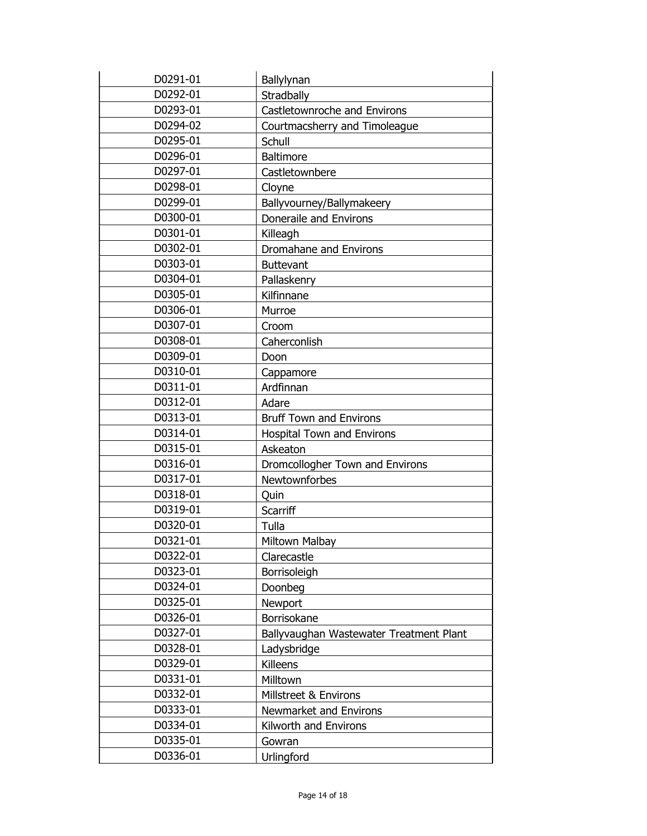| D0291-01 | Ballylynan                              |
|----------|-----------------------------------------|
| D0292-01 | Stradbally                              |
| D0293-01 | Castletownroche and Environs            |
| D0294-02 | Courtmacsherry and Timoleague           |
| D0295-01 | Schull                                  |
| D0296-01 | <b>Baltimore</b>                        |
| D0297-01 | Castletownbere                          |
| D0298-01 | Cloyne                                  |
| D0299-01 | Ballyvourney/Ballymakeery               |
| D0300-01 | Doneraile and Environs                  |
| D0301-01 | Killeagh                                |
| D0302-01 | Dromahane and Environs                  |
| D0303-01 | <b>Buttevant</b>                        |
| D0304-01 | Pallaskenry                             |
| D0305-01 | Kilfinnane                              |
| D0306-01 | Murroe                                  |
| D0307-01 | Croom                                   |
| D0308-01 | Caherconlish                            |
| D0309-01 | Doon                                    |
| D0310-01 | Cappamore                               |
| D0311-01 | Ardfinnan                               |
| D0312-01 | Adare                                   |
| D0313-01 | <b>Bruff Town and Environs</b>          |
| D0314-01 | <b>Hospital Town and Environs</b>       |
| D0315-01 | Askeaton                                |
| D0316-01 | Dromcollogher Town and Environs         |
| D0317-01 | Newtownforbes                           |
| D0318-01 | Quin                                    |
| D0319-01 | Scarriff                                |
| D0320-01 | Tulla                                   |
| D0321-01 | Miltown Malbay                          |
| D0322-01 | Clarecastle                             |
| D0323-01 | Borrisoleigh                            |
| D0324-01 | Doonbeg                                 |
| D0325-01 | Newport                                 |
| D0326-01 | Borrisokane                             |
| D0327-01 | Ballyvaughan Wastewater Treatment Plant |
| D0328-01 | Ladysbridge                             |
| D0329-01 | Killeens                                |
| D0331-01 | Milltown                                |
| D0332-01 | Millstreet & Environs                   |
| D0333-01 | Newmarket and Environs                  |
| D0334-01 | Kilworth and Environs                   |
| D0335-01 | Gowran                                  |
| D0336-01 | Urlingford                              |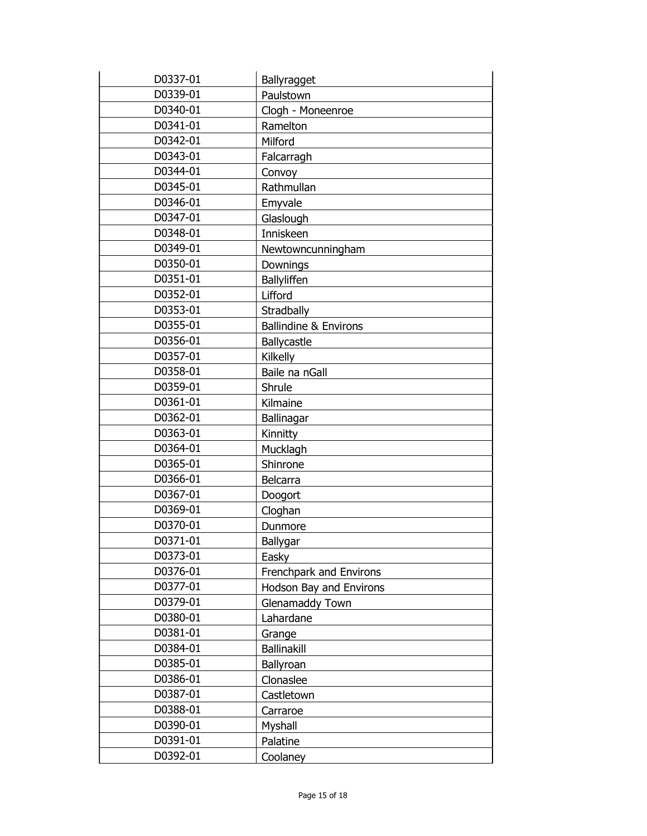| D0337-01 | Ballyragget                      |
|----------|----------------------------------|
| D0339-01 | Paulstown                        |
| D0340-01 | Clogh - Moneenroe                |
| D0341-01 | Ramelton                         |
| D0342-01 | Milford                          |
| D0343-01 | Falcarragh                       |
| D0344-01 | Convoy                           |
| D0345-01 | Rathmullan                       |
| D0346-01 | Emyvale                          |
| D0347-01 | Glaslough                        |
| D0348-01 | Inniskeen                        |
| D0349-01 | Newtowncunningham                |
| D0350-01 | Downings                         |
| D0351-01 | Ballyliffen                      |
| D0352-01 | Lifford                          |
| D0353-01 | Stradbally                       |
| D0355-01 | <b>Ballindine &amp; Environs</b> |
| D0356-01 | Ballycastle                      |
| D0357-01 | Kilkelly                         |
| D0358-01 | Baile na nGall                   |
| D0359-01 | Shrule                           |
| D0361-01 | Kilmaine                         |
| D0362-01 | Ballinagar                       |
| D0363-01 | Kinnitty                         |
| D0364-01 | Mucklagh                         |
| D0365-01 | Shinrone                         |
| D0366-01 | Belcarra                         |
| D0367-01 | Doogort                          |
| D0369-01 | Cloghan                          |
| D0370-01 | Dunmore                          |
| D0371-01 | Ballygar                         |
| D0373-01 | Easky                            |
| D0376-01 | Frenchpark and Environs          |
| D0377-01 | Hodson Bay and Environs          |
| D0379-01 | Glenamaddy Town                  |
| D0380-01 | Lahardane                        |
| D0381-01 | Grange                           |
| D0384-01 | Ballinakill                      |
| D0385-01 | Ballyroan                        |
| D0386-01 | Clonaslee                        |
| D0387-01 | Castletown                       |
| D0388-01 | Carraroe                         |
| D0390-01 | Myshall                          |
| D0391-01 | Palatine                         |
| D0392-01 | Coolaney                         |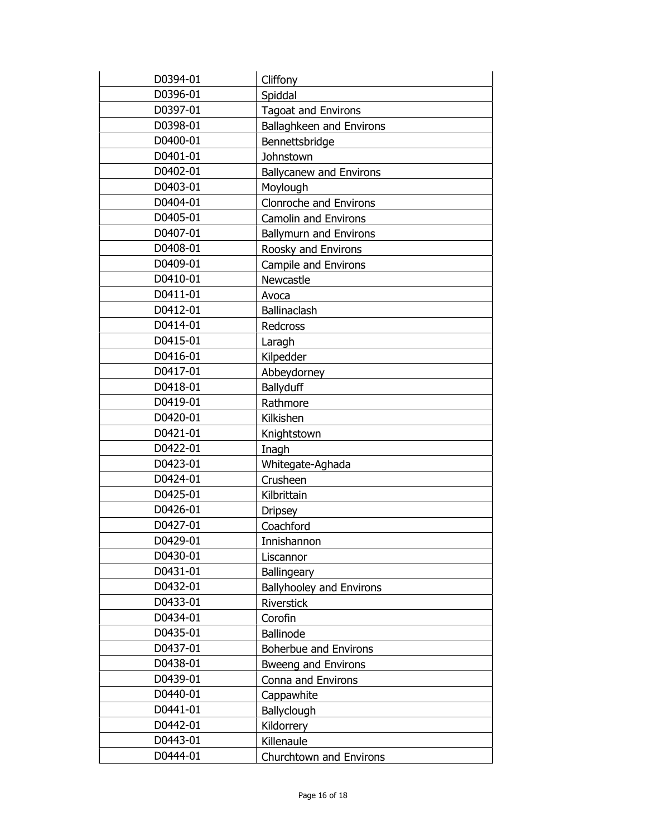| D0394-01 | Cliffony                        |
|----------|---------------------------------|
| D0396-01 | Spiddal                         |
| D0397-01 | <b>Tagoat and Environs</b>      |
| D0398-01 | Ballaghkeen and Environs        |
| D0400-01 | Bennettsbridge                  |
| D0401-01 | Johnstown                       |
| D0402-01 | <b>Ballycanew and Environs</b>  |
| D0403-01 | Moylough                        |
| D0404-01 | Clonroche and Environs          |
| D0405-01 | <b>Camolin and Environs</b>     |
| D0407-01 | <b>Ballymurn and Environs</b>   |
| D0408-01 | Roosky and Environs             |
| D0409-01 | Campile and Environs            |
| D0410-01 | Newcastle                       |
| D0411-01 | Avoca                           |
| D0412-01 | Ballinaclash                    |
| D0414-01 | Redcross                        |
| D0415-01 | Laragh                          |
| D0416-01 | Kilpedder                       |
| D0417-01 | Abbeydorney                     |
| D0418-01 | <b>Ballyduff</b>                |
| D0419-01 | Rathmore                        |
| D0420-01 | Kilkishen                       |
| D0421-01 | Knightstown                     |
| D0422-01 | Inagh                           |
| D0423-01 | Whitegate-Aghada                |
| D0424-01 | Crusheen                        |
| D0425-01 | Kilbrittain                     |
| D0426-01 | <b>Dripsey</b>                  |
| D0427-01 | Coachford                       |
| D0429-01 | Innishannon                     |
| D0430-01 | Liscannor                       |
| D0431-01 | <b>Ballingeary</b>              |
| D0432-01 | <b>Ballyhooley and Environs</b> |
| D0433-01 | <b>Riverstick</b>               |
| D0434-01 | Corofin                         |
| D0435-01 | <b>Ballinode</b>                |
| D0437-01 | Boherbue and Environs           |
| D0438-01 | <b>Bweeng and Environs</b>      |
| D0439-01 | Conna and Environs              |
| D0440-01 | Cappawhite                      |
| D0441-01 | Ballyclough                     |
| D0442-01 | Kildorrery                      |
| D0443-01 | Killenaule                      |
| D0444-01 | Churchtown and Environs         |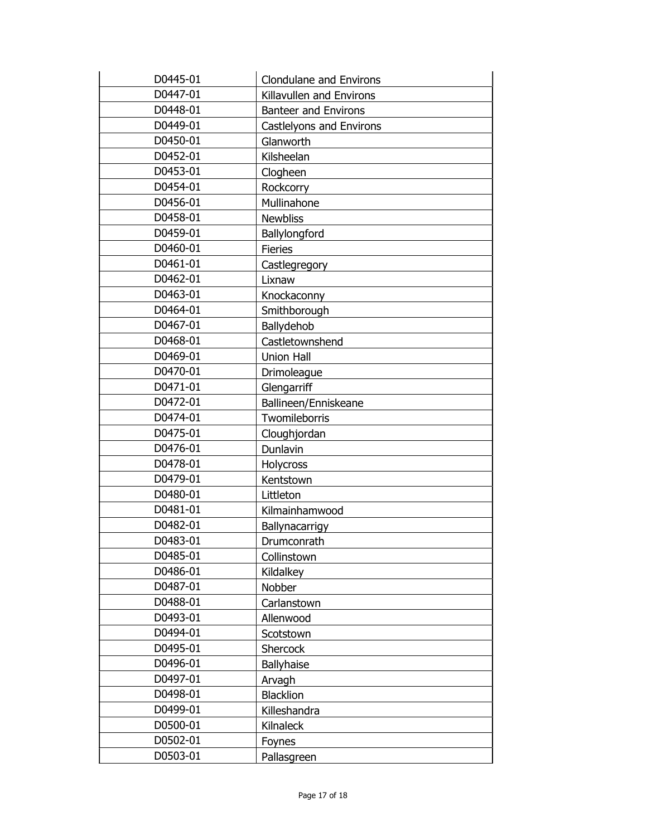| D0445-01 | <b>Clondulane and Environs</b> |
|----------|--------------------------------|
| D0447-01 | Killavullen and Environs       |
| D0448-01 | <b>Banteer and Environs</b>    |
| D0449-01 | Castlelyons and Environs       |
| D0450-01 | Glanworth                      |
| D0452-01 | Kilsheelan                     |
| D0453-01 | Clogheen                       |
| D0454-01 | Rockcorry                      |
| D0456-01 | Mullinahone                    |
| D0458-01 | <b>Newbliss</b>                |
| D0459-01 | Ballylongford                  |
| D0460-01 | <b>Fieries</b>                 |
| D0461-01 | Castlegregory                  |
| D0462-01 | Lixnaw                         |
| D0463-01 | Knockaconny                    |
| D0464-01 | Smithborough                   |
| D0467-01 | Ballydehob                     |
| D0468-01 | Castletownshend                |
| D0469-01 | <b>Union Hall</b>              |
| D0470-01 | Drimoleague                    |
| D0471-01 | Glengarriff                    |
| D0472-01 | Ballineen/Enniskeane           |
| D0474-01 | Twomileborris                  |
| D0475-01 | Cloughjordan                   |
| D0476-01 | Dunlavin                       |
| D0478-01 | Holycross                      |
| D0479-01 | Kentstown                      |
| D0480-01 | Littleton                      |
| D0481-01 | Kilmainhamwood                 |
| D0482-01 | Ballynacarrigy                 |
| D0483-01 | Drumconrath                    |
| D0485-01 | Collinstown                    |
| D0486-01 | Kildalkey                      |
| D0487-01 | Nobber                         |
| D0488-01 | Carlanstown                    |
| D0493-01 | Allenwood                      |
| D0494-01 | Scotstown                      |
| D0495-01 | Shercock                       |
| D0496-01 | <b>Ballyhaise</b>              |
| D0497-01 | Arvagh                         |
| D0498-01 | <b>Blacklion</b>               |
| D0499-01 | Killeshandra                   |
| D0500-01 | Kilnaleck                      |
| D0502-01 | Foynes                         |
| D0503-01 | Pallasgreen                    |